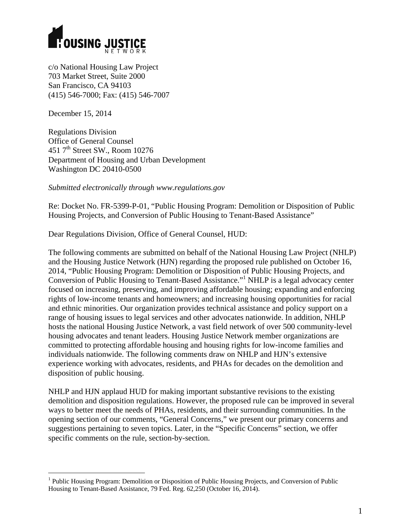

c/o National Housing Law Project 703 Market Street, Suite 2000 San Francisco, CA 94103 (415) 546-7000; Fax: (415) 546-7007

December 15, 2014

Regulations Division Office of General Counsel 451 7<sup>th</sup> Street SW., Room 10276 Department of Housing and Urban Development Washington DC 20410-0500

*Submitted electronically through www.regulations.gov* 

Re: Docket No. FR-5399-P-01, "Public Housing Program: Demolition or Disposition of Public Housing Projects, and Conversion of Public Housing to Tenant-Based Assistance"

Dear Regulations Division, Office of General Counsel, HUD:

The following comments are submitted on behalf of the National Housing Law Project (NHLP) and the Housing Justice Network (HJN) regarding the proposed rule published on October 16, 2014, "Public Housing Program: Demolition or Disposition of Public Housing Projects, and Conversion of Public Housing to Tenant-Based Assistance."1 NHLP is a legal advocacy center focused on increasing, preserving, and improving affordable housing; expanding and enforcing rights of low-income tenants and homeowners; and increasing housing opportunities for racial and ethnic minorities. Our organization provides technical assistance and policy support on a range of housing issues to legal services and other advocates nationwide. In addition, NHLP hosts the national Housing Justice Network, a vast field network of over 500 community-level housing advocates and tenant leaders. Housing Justice Network member organizations are committed to protecting affordable housing and housing rights for low-income families and individuals nationwide. The following comments draw on NHLP and HJN's extensive experience working with advocates, residents, and PHAs for decades on the demolition and disposition of public housing.

NHLP and HJN applaud HUD for making important substantive revisions to the existing demolition and disposition regulations. However, the proposed rule can be improved in several ways to better meet the needs of PHAs, residents, and their surrounding communities. In the opening section of our comments, "General Concerns," we present our primary concerns and suggestions pertaining to seven topics. Later, in the "Specific Concerns" section, we offer specific comments on the rule, section-by-section.

<sup>&</sup>lt;sup>1</sup> Public Housing Program: Demolition or Disposition of Public Housing Projects, and Conversion of Public Housing to Tenant-Based Assistance, 79 Fed. Reg. 62,250 (October 16, 2014).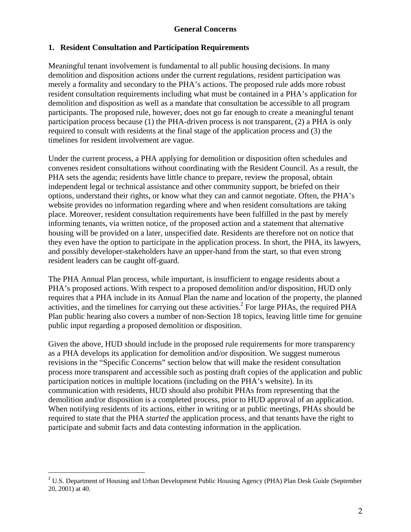### **General Concerns**

#### **1. Resident Consultation and Participation Requirements**

Meaningful tenant involvement is fundamental to all public housing decisions. In many demolition and disposition actions under the current regulations, resident participation was merely a formality and secondary to the PHA's actions. The proposed rule adds more robust resident consultation requirements including what must be contained in a PHA's application for demolition and disposition as well as a mandate that consultation be accessible to all program participants. The proposed rule, however, does not go far enough to create a meaningful tenant participation process because (1) the PHA-driven process is not transparent, (2) a PHA is only required to consult with residents at the final stage of the application process and (3) the timelines for resident involvement are vague.

Under the current process, a PHA applying for demolition or disposition often schedules and convenes resident consultations without coordinating with the Resident Council. As a result, the PHA sets the agenda; residents have little chance to prepare, review the proposal, obtain independent legal or technical assistance and other community support, be briefed on their options, understand their rights, or know what they can and cannot negotiate. Often, the PHA's website provides no information regarding where and when resident consultations are taking place. Moreover, resident consultation requirements have been fulfilled in the past by merely informing tenants, via written notice, of the proposed action and a statement that alternative housing will be provided on a later, unspecified date. Residents are therefore not on notice that they even have the option to participate in the application process. In short, the PHA, its lawyers, and possibly developer-stakeholders have an upper-hand from the start, so that even strong resident leaders can be caught off-guard.

The PHA Annual Plan process, while important, is insufficient to engage residents about a PHA's proposed actions. With respect to a proposed demolition and/or disposition, HUD only requires that a PHA include in its Annual Plan the name and location of the property, the planned activities, and the timelines for carrying out these activities.<sup>2</sup> For large PHAs, the required PHA Plan public hearing also covers a number of non-Section 18 topics, leaving little time for genuine public input regarding a proposed demolition or disposition.

Given the above, HUD should include in the proposed rule requirements for more transparency as a PHA develops its application for demolition and/or disposition. We suggest numerous revisions in the "Specific Concerns" section below that will make the resident consultation process more transparent and accessible such as posting draft copies of the application and public participation notices in multiple locations (including on the PHA's website). In its communication with residents, HUD should also prohibit PHAs from representing that the demolition and/or disposition is a completed process, prior to HUD approval of an application. When notifying residents of its actions, either in writing or at public meetings, PHAs should be required to state that the PHA *started* the application process, and that tenants have the right to participate and submit facts and data contesting information in the application.

**<sup>2</sup> U.S. Department of Housing and Urban Development Public Housing Agency (PHA) Plan Desk Guide (September** 20, 2001) at 40.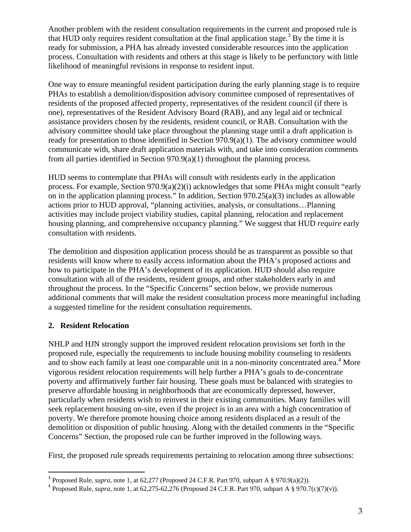Another problem with the resident consultation requirements in the current and proposed rule is that HUD only requires resident consultation at the final application stage.<sup>3</sup> By the time it is ready for submission, a PHA has already invested considerable resources into the application process. Consultation with residents and others at this stage is likely to be perfunctory with little likelihood of meaningful revisions in response to resident input.

One way to ensure meaningful resident participation during the early planning stage is to require PHAs to establish a demolition/disposition advisory committee composed of representatives of residents of the proposed affected property, representatives of the resident council (if there is one), representatives of the Resident Advisory Board (RAB), and any legal aid or technical assistance providers chosen by the residents, resident council, or RAB. Consultation with the advisory committee should take place throughout the planning stage until a draft application is ready for presentation to those identified in Section 970.9(a)(1). The advisory committee would communicate with, share draft application materials with, and take into consideration comments from all parties identified in Section 970.9(a)(1) throughout the planning process.

HUD seems to contemplate that PHAs will consult with residents early in the application process. For example, Section 970.9(a)(2)(i) acknowledges that some PHAs might consult "early on in the application planning process." In addition, Section 970.25(a)(3) includes as allowable actions prior to HUD approval, "planning activities, analysis, or consultations…Planning activities may include project viability studies, capital planning, relocation and replacement housing planning, and comprehensive occupancy planning." We suggest that HUD *require* early consultation with residents.

The demolition and disposition application process should be as transparent as possible so that residents will know where to easily access information about the PHA's proposed actions and how to participate in the PHA's development of its application. HUD should also require consultation with all of the residents, resident groups, and other stakeholders early in and throughout the process. In the "Specific Concerns" section below, we provide numerous additional comments that will make the resident consultation process more meaningful including a suggested timeline for the resident consultation requirements.

### **2. Resident Relocation**

NHLP and HJN strongly support the improved resident relocation provisions set forth in the proposed rule, especially the requirements to include housing mobility counseling to residents and to show each family at least one comparable unit in a non-minority concentrated area.<sup>4</sup> More vigorous resident relocation requirements will help further a PHA's goals to de-concentrate poverty and affirmatively further fair housing. These goals must be balanced with strategies to preserve affordable housing in neighborhoods that are economically depressed, however, particularly when residents wish to reinvest in their existing communities. Many families will seek replacement housing on-site, even if the project is in an area with a high concentration of poverty. We therefore promote housing choice among residents displaced as a result of the demolition or disposition of public housing. Along with the detailed comments in the "Specific Concerns" Section, the proposed rule can be further improved in the following ways.

First, the proposed rule spreads requirements pertaining to relocation among three subsections:

 <sup>3</sup> Proposed Rule, *supra*, note 1, at 62,277 (Proposed 24 C.F.R. Part 970, subpart A § 970.9(a)(2)).

<sup>&</sup>lt;sup>4</sup> Proposed Rule, *supra*, note 1, at 62,275-62,276 (Proposed 24 C.F.R. Part 970, subpart A § 970.7(c)(7)(v)).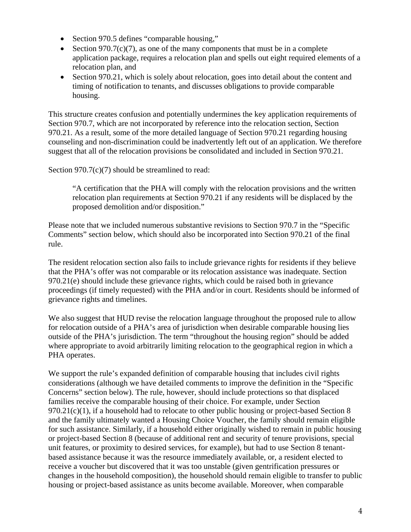- Section 970.5 defines "comparable housing,"
- Section 970.7(c)(7), as one of the many components that must be in a complete application package, requires a relocation plan and spells out eight required elements of a relocation plan, and
- Section 970.21, which is solely about relocation, goes into detail about the content and timing of notification to tenants, and discusses obligations to provide comparable housing.

This structure creates confusion and potentially undermines the key application requirements of Section 970.7, which are not incorporated by reference into the relocation section, Section 970.21. As a result, some of the more detailed language of Section 970.21 regarding housing counseling and non-discrimination could be inadvertently left out of an application. We therefore suggest that all of the relocation provisions be consolidated and included in Section 970.21.

Section  $970.7(c)(7)$  should be streamlined to read:

 "A certification that the PHA will comply with the relocation provisions and the written relocation plan requirements at Section 970.21 if any residents will be displaced by the proposed demolition and/or disposition."

Please note that we included numerous substantive revisions to Section 970.7 in the "Specific Comments" section below, which should also be incorporated into Section 970.21 of the final rule.

The resident relocation section also fails to include grievance rights for residents if they believe that the PHA's offer was not comparable or its relocation assistance was inadequate. Section 970.21(e) should include these grievance rights, which could be raised both in grievance proceedings (if timely requested) with the PHA and/or in court. Residents should be informed of grievance rights and timelines.

We also suggest that HUD revise the relocation language throughout the proposed rule to allow for relocation outside of a PHA's area of jurisdiction when desirable comparable housing lies outside of the PHA's jurisdiction. The term "throughout the housing region" should be added where appropriate to avoid arbitrarily limiting relocation to the geographical region in which a PHA operates.

We support the rule's expanded definition of comparable housing that includes civil rights considerations (although we have detailed comments to improve the definition in the "Specific Concerns" section below). The rule, however, should include protections so that displaced families receive the comparable housing of their choice. For example, under Section 970.21(c)(1), if a household had to relocate to other public housing or project-based Section 8 and the family ultimately wanted a Housing Choice Voucher, the family should remain eligible for such assistance. Similarly, if a household either originally wished to remain in public housing or project-based Section 8 (because of additional rent and security of tenure provisions, special unit features, or proximity to desired services, for example), but had to use Section 8 tenantbased assistance because it was the resource immediately available, or, a resident elected to receive a voucher but discovered that it was too unstable (given gentrification pressures or changes in the household composition), the household should remain eligible to transfer to public housing or project-based assistance as units become available. Moreover, when comparable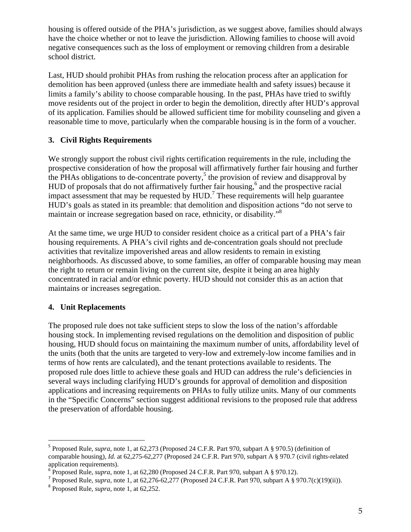housing is offered outside of the PHA's jurisdiction, as we suggest above, families should always have the choice whether or not to leave the jurisdiction. Allowing families to choose will avoid negative consequences such as the loss of employment or removing children from a desirable school district.

Last, HUD should prohibit PHAs from rushing the relocation process after an application for demolition has been approved (unless there are immediate health and safety issues) because it limits a family's ability to choose comparable housing. In the past, PHAs have tried to swiftly move residents out of the project in order to begin the demolition, directly after HUD's approval of its application. Families should be allowed sufficient time for mobility counseling and given a reasonable time to move, particularly when the comparable housing is in the form of a voucher.

# **3. Civil Rights Requirements**

We strongly support the robust civil rights certification requirements in the rule, including the prospective consideration of how the proposal will affirmatively further fair housing and further the PHAs obligations to de-concentrate poverty,<sup>5</sup> the provision of review and disapproval by HUD of proposals that do not affirmatively further fair housing,<sup>6</sup> and the prospective racial impact assessment that may be requested by  $HUD$ .<sup>7</sup> These requirements will help guarantee HUD's goals as stated in its preamble: that demolition and disposition actions "do not serve to maintain or increase segregation based on race, ethnicity, or disability."8

At the same time, we urge HUD to consider resident choice as a critical part of a PHA's fair housing requirements. A PHA's civil rights and de-concentration goals should not preclude activities that revitalize impoverished areas and allow residents to remain in existing neighborhoods. As discussed above, to some families, an offer of comparable housing may mean the right to return or remain living on the current site, despite it being an area highly concentrated in racial and/or ethnic poverty. HUD should not consider this as an action that maintains or increases segregation.

# **4. Unit Replacements**

The proposed rule does not take sufficient steps to slow the loss of the nation's affordable housing stock. In implementing revised regulations on the demolition and disposition of public housing, HUD should focus on maintaining the maximum number of units, affordability level of the units (both that the units are targeted to very-low and extremely-low income families and in terms of how rents are calculated), and the tenant protections available to residents. The proposed rule does little to achieve these goals and HUD can address the rule's deficiencies in several ways including clarifying HUD's grounds for approval of demolition and disposition applications and increasing requirements on PHAs to fully utilize units. Many of our comments in the "Specific Concerns" section suggest additional revisions to the proposed rule that address the preservation of affordable housing.

<sup>&</sup>lt;sup>5</sup> Proposed Rule, *supra*, note 1, at 62,273 (Proposed 24 C.F.R. Part 970, subpart A § 970.5) (definition of comparable housing), *Id.* at 62,275-62,277 (Proposed 24 C.F.R. Part 970, subpart A § 970.7 (civil rights-related application requirements).

 $\overline{6}$  Proposed Rule, *supra*, note 1, at 62,280 (Proposed 24 C.F.R. Part 970, subpart A § 970.12).

<sup>&</sup>lt;sup>7</sup> Proposed Rule, *supra*, note 1, at 62,276-62,277 (Proposed 24 C.F.R. Part 970, subpart A § 970.7(c)(19)(ii)).

<sup>8</sup> Proposed Rule, *supra*, note 1, at 62,252.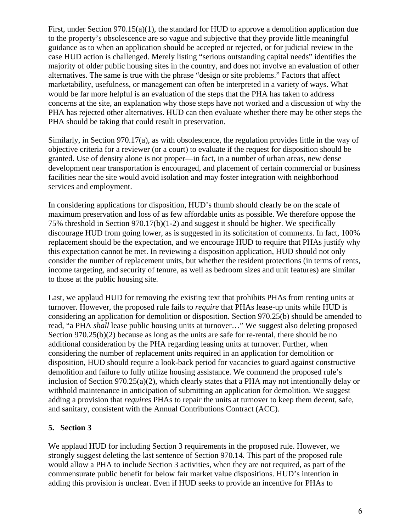First, under Section 970.15(a)(1), the standard for HUD to approve a demolition application due to the property's obsolescence are so vague and subjective that they provide little meaningful guidance as to when an application should be accepted or rejected, or for judicial review in the case HUD action is challenged. Merely listing "serious outstanding capital needs" identifies the majority of older public housing sites in the country, and does not involve an evaluation of other alternatives. The same is true with the phrase "design or site problems." Factors that affect marketability, usefulness, or management can often be interpreted in a variety of ways. What would be far more helpful is an evaluation of the steps that the PHA has taken to address concerns at the site, an explanation why those steps have not worked and a discussion of why the PHA has rejected other alternatives. HUD can then evaluate whether there may be other steps the PHA should be taking that could result in preservation.

Similarly, in Section 970.17(a), as with obsolescence, the regulation provides little in the way of objective criteria for a reviewer (or a court) to evaluate if the request for disposition should be granted. Use of density alone is not proper—in fact, in a number of urban areas, new dense development near transportation is encouraged, and placement of certain commercial or business facilities near the site would avoid isolation and may foster integration with neighborhood services and employment.

In considering applications for disposition, HUD's thumb should clearly be on the scale of maximum preservation and loss of as few affordable units as possible. We therefore oppose the 75% threshold in Section 970.17(b)(1-2) and suggest it should be higher. We specifically discourage HUD from going lower, as is suggested in its solicitation of comments. In fact, 100% replacement should be the expectation, and we encourage HUD to require that PHAs justify why this expectation cannot be met. In reviewing a disposition application, HUD should not only consider the number of replacement units, but whether the resident protections (in terms of rents, income targeting, and security of tenure, as well as bedroom sizes and unit features) are similar to those at the public housing site.

Last, we applaud HUD for removing the existing text that prohibits PHAs from renting units at turnover. However, the proposed rule fails to *require* that PHAs lease-up units while HUD is considering an application for demolition or disposition. Section 970.25(b) should be amended to read, "a PHA *shall* lease public housing units at turnover…" We suggest also deleting proposed Section 970.25(b)(2) because as long as the units are safe for re-rental, there should be no additional consideration by the PHA regarding leasing units at turnover. Further, when considering the number of replacement units required in an application for demolition or disposition, HUD should require a look-back period for vacancies to guard against constructive demolition and failure to fully utilize housing assistance. We commend the proposed rule's inclusion of Section  $970.25(a)(2)$ , which clearly states that a PHA may not intentionally delay or withhold maintenance in anticipation of submitting an application for demolition. We suggest adding a provision that *requires* PHAs to repair the units at turnover to keep them decent, safe, and sanitary, consistent with the Annual Contributions Contract (ACC).

### **5. Section 3**

We applaud HUD for including Section 3 requirements in the proposed rule. However, we strongly suggest deleting the last sentence of Section 970.14. This part of the proposed rule would allow a PHA to include Section 3 activities, when they are not required, as part of the commensurate public benefit for below fair market value dispositions. HUD's intention in adding this provision is unclear. Even if HUD seeks to provide an incentive for PHAs to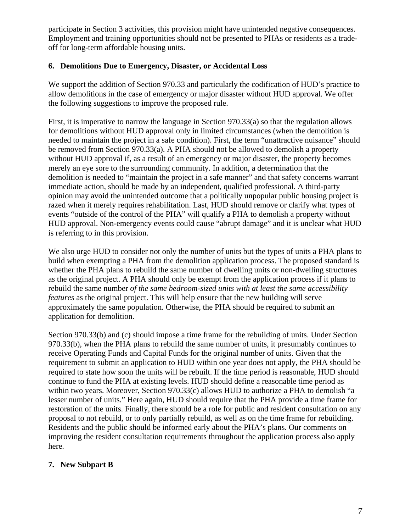participate in Section 3 activities, this provision might have unintended negative consequences. Employment and training opportunities should not be presented to PHAs or residents as a tradeoff for long-term affordable housing units.

### **6. Demolitions Due to Emergency, Disaster, or Accidental Loss**

We support the addition of Section 970.33 and particularly the codification of HUD's practice to allow demolitions in the case of emergency or major disaster without HUD approval. We offer the following suggestions to improve the proposed rule.

First, it is imperative to narrow the language in Section 970.33(a) so that the regulation allows for demolitions without HUD approval only in limited circumstances (when the demolition is needed to maintain the project in a safe condition). First, the term "unattractive nuisance" should be removed from Section 970.33(a). A PHA should not be allowed to demolish a property without HUD approval if, as a result of an emergency or major disaster, the property becomes merely an eye sore to the surrounding community. In addition, a determination that the demolition is needed to "maintain the project in a safe manner" and that safety concerns warrant immediate action, should be made by an independent, qualified professional. A third-party opinion may avoid the unintended outcome that a politically unpopular public housing project is razed when it merely requires rehabilitation. Last, HUD should remove or clarify what types of events "outside of the control of the PHA" will qualify a PHA to demolish a property without HUD approval. Non-emergency events could cause "abrupt damage" and it is unclear what HUD is referring to in this provision.

We also urge HUD to consider not only the number of units but the types of units a PHA plans to build when exempting a PHA from the demolition application process. The proposed standard is whether the PHA plans to rebuild the same number of dwelling units or non-dwelling structures as the original project. A PHA should only be exempt from the application process if it plans to rebuild the same number *of the same bedroom-sized units with at least the same accessibility features* as the original project. This will help ensure that the new building will serve approximately the same population. Otherwise, the PHA should be required to submit an application for demolition.

Section 970.33(b) and (c) should impose a time frame for the rebuilding of units. Under Section 970.33(b), when the PHA plans to rebuild the same number of units, it presumably continues to receive Operating Funds and Capital Funds for the original number of units. Given that the requirement to submit an application to HUD within one year does not apply, the PHA should be required to state how soon the units will be rebuilt. If the time period is reasonable, HUD should continue to fund the PHA at existing levels. HUD should define a reasonable time period as within two years. Moreover, Section 970.33(c) allows HUD to authorize a PHA to demolish "a lesser number of units." Here again, HUD should require that the PHA provide a time frame for restoration of the units. Finally, there should be a role for public and resident consultation on any proposal to not rebuild, or to only partially rebuild, as well as on the time frame for rebuilding. Residents and the public should be informed early about the PHA's plans. Our comments on improving the resident consultation requirements throughout the application process also apply here.

# **7. New Subpart B**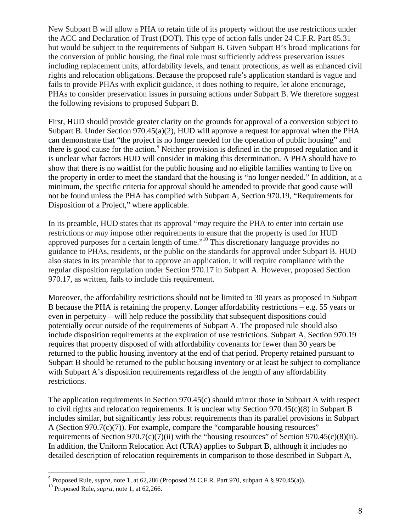New Subpart B will allow a PHA to retain title of its property without the use restrictions under the ACC and Declaration of Trust (DOT). This type of action falls under 24 C.F.R. Part 85.31 but would be subject to the requirements of Subpart B. Given Subpart B's broad implications for the conversion of public housing, the final rule must sufficiently address preservation issues including replacement units, affordability levels, and tenant protections, as well as enhanced civil rights and relocation obligations. Because the proposed rule's application standard is vague and fails to provide PHAs with explicit guidance, it does nothing to require, let alone encourage, PHAs to consider preservation issues in pursuing actions under Subpart B. We therefore suggest the following revisions to proposed Subpart B.

First, HUD should provide greater clarity on the grounds for approval of a conversion subject to Subpart B. Under Section 970.45(a)(2), HUD will approve a request for approval when the PHA can demonstrate that "the project is no longer needed for the operation of public housing" and there is good cause for the action.<sup>9</sup> Neither provision is defined in the proposed regulation and it is unclear what factors HUD will consider in making this determination. A PHA should have to show that there is no waitlist for the public housing and no eligible families wanting to live on the property in order to meet the standard that the housing is "no longer needed." In addition, at a minimum, the specific criteria for approval should be amended to provide that good cause will not be found unless the PHA has complied with Subpart A, Section 970.19, "Requirements for Disposition of a Project," where applicable.

In its preamble, HUD states that its approval "*may* require the PHA to enter into certain use restrictions or *may* impose other requirements to ensure that the property is used for HUD approved purposes for a certain length of time."<sup>10</sup> This discretionary language provides no guidance to PHAs, residents, or the public on the standards for approval under Subpart B. HUD also states in its preamble that to approve an application, it will require compliance with the regular disposition regulation under Section 970.17 in Subpart A. However, proposed Section 970.17, as written, fails to include this requirement.

Moreover, the affordability restrictions should not be limited to 30 years as proposed in Subpart B because the PHA is retaining the property. Longer affordability restrictions – e.g. 55 years or even in perpetuity—will help reduce the possibility that subsequent dispositions could potentially occur outside of the requirements of Subpart A. The proposed rule should also include disposition requirements at the expiration of use restrictions. Subpart A, Section 970.19 requires that property disposed of with affordability covenants for fewer than 30 years be returned to the public housing inventory at the end of that period. Property retained pursuant to Subpart B should be returned to the public housing inventory or at least be subject to compliance with Subpart A's disposition requirements regardless of the length of any affordability restrictions.

The application requirements in Section 970.45(c) should mirror those in Subpart A with respect to civil rights and relocation requirements. It is unclear why Section  $970.45(c)(8)$  in Subpart B includes similar, but significantly less robust requirements than its parallel provisions in Subpart A (Section  $970.7(c)(7)$ ). For example, compare the "comparable housing resources" requirements of Section  $970.7(c)(7)(ii)$  with the "housing resources" of Section  $970.45(c)(8)(ii)$ . In addition, the Uniform Relocation Act (URA) applies to Subpart B, although it includes no detailed description of relocation requirements in comparison to those described in Subpart A,

<sup>&</sup>lt;sup>9</sup> Proposed Rule, *supra*, note 1, at 62,286 (Proposed 24 C.F.R. Part 970, subpart A § 970.45(a)).

<sup>10</sup> Proposed Rule, *supra*, note 1, at 62,266.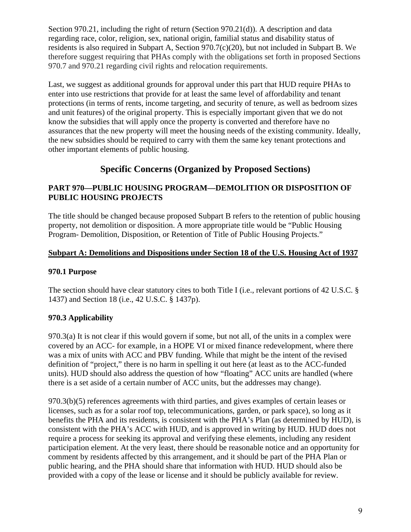Section 970.21, including the right of return (Section 970.21(d)). A description and data regarding race, color, religion, sex, national origin, familial status and disability status of residents is also required in Subpart A, Section 970.7(c)(20), but not included in Subpart B. We therefore suggest requiring that PHAs comply with the obligations set forth in proposed Sections 970.7 and 970.21 regarding civil rights and relocation requirements.

Last, we suggest as additional grounds for approval under this part that HUD require PHAs to enter into use restrictions that provide for at least the same level of affordability and tenant protections (in terms of rents, income targeting, and security of tenure, as well as bedroom sizes and unit features) of the original property. This is especially important given that we do not know the subsidies that will apply once the property is converted and therefore have no assurances that the new property will meet the housing needs of the existing community. Ideally, the new subsidies should be required to carry with them the same key tenant protections and other important elements of public housing.

# **Specific Concerns (Organized by Proposed Sections)**

# **PART 970—PUBLIC HOUSING PROGRAM—DEMOLITION OR DISPOSITION OF PUBLIC HOUSING PROJECTS**

The title should be changed because proposed Subpart B refers to the retention of public housing property, not demolition or disposition. A more appropriate title would be "Public Housing Program- Demolition, Disposition, or Retention of Title of Public Housing Projects."

# **Subpart A: Demolitions and Dispositions under Section 18 of the U.S. Housing Act of 1937**

# **970.1 Purpose**

The section should have clear statutory cites to both Title I (i.e., relevant portions of 42 U.S.C. § 1437) and Section 18 (i.e., 42 U.S.C. § 1437p).

# **970.3 Applicability**

970.3(a) It is not clear if this would govern if some, but not all, of the units in a complex were covered by an ACC- for example, in a HOPE VI or mixed finance redevelopment, where there was a mix of units with ACC and PBV funding. While that might be the intent of the revised definition of "project," there is no harm in spelling it out here (at least as to the ACC-funded units). HUD should also address the question of how "floating" ACC units are handled (where there is a set aside of a certain number of ACC units, but the addresses may change).

970.3(b)(5) references agreements with third parties, and gives examples of certain leases or licenses, such as for a solar roof top, telecommunications, garden, or park space), so long as it benefits the PHA and its residents, is consistent with the PHA's Plan (as determined by HUD), is consistent with the PHA's ACC with HUD, and is approved in writing by HUD. HUD does not require a process for seeking its approval and verifying these elements, including any resident participation element. At the very least, there should be reasonable notice and an opportunity for comment by residents affected by this arrangement, and it should be part of the PHA Plan or public hearing, and the PHA should share that information with HUD. HUD should also be provided with a copy of the lease or license and it should be publicly available for review.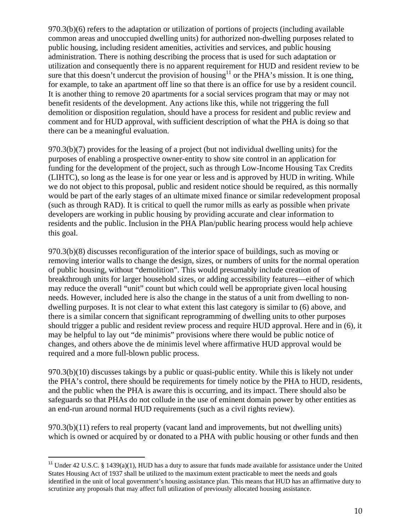970.3(b)(6) refers to the adaptation or utilization of portions of projects (including available common areas and unoccupied dwelling units) for authorized non-dwelling purposes related to public housing, including resident amenities, activities and services, and public housing administration. There is nothing describing the process that is used for such adaptation or utilization and consequently there is no apparent requirement for HUD and resident review to be sure that this doesn't undercut the provision of housing<sup>11</sup> or the PHA's mission. It is one thing, for example, to take an apartment off line so that there is an office for use by a resident council. It is another thing to remove 20 apartments for a social services program that may or may not benefit residents of the development. Any actions like this, while not triggering the full demolition or disposition regulation, should have a process for resident and public review and comment and for HUD approval, with sufficient description of what the PHA is doing so that there can be a meaningful evaluation.

970.3(b)(7) provides for the leasing of a project (but not individual dwelling units) for the purposes of enabling a prospective owner-entity to show site control in an application for funding for the development of the project, such as through Low-Income Housing Tax Credits (LIHTC), so long as the lease is for one year or less and is approved by HUD in writing. While we do not object to this proposal, public and resident notice should be required, as this normally would be part of the early stages of an ultimate mixed finance or similar redevelopment proposal (such as through RAD). It is critical to quell the rumor mills as early as possible when private developers are working in public housing by providing accurate and clear information to residents and the public. Inclusion in the PHA Plan/public hearing process would help achieve this goal.

970.3(b)(8) discusses reconfiguration of the interior space of buildings, such as moving or removing interior walls to change the design, sizes, or numbers of units for the normal operation of public housing, without "demolition". This would presumably include creation of breakthrough units for larger household sizes, or adding accessibility features—either of which may reduce the overall "unit" count but which could well be appropriate given local housing needs. However, included here is also the change in the status of a unit from dwelling to nondwelling purposes. It is not clear to what extent this last category is similar to (6) above, and there is a similar concern that significant reprogramming of dwelling units to other purposes should trigger a public and resident review process and require HUD approval. Here and in (6), it may be helpful to lay out "de minimis" provisions where there would be public notice of changes, and others above the de minimis level where affirmative HUD approval would be required and a more full-blown public process.

970.3(b)(10) discusses takings by a public or quasi-public entity. While this is likely not under the PHA's control, there should be requirements for timely notice by the PHA to HUD, residents, and the public when the PHA is aware this is occurring, and its impact. There should also be safeguards so that PHAs do not collude in the use of eminent domain power by other entities as an end-run around normal HUD requirements (such as a civil rights review).

 $970.3(b)(11)$  refers to real property (vacant land and improvements, but not dwelling units) which is owned or acquired by or donated to a PHA with public housing or other funds and then

<sup>&</sup>lt;sup>11</sup> Under 42 U.S.C. § 1439(a)(1), HUD has a duty to assure that funds made available for assistance under the United States Housing Act of 1937 shall be utilized to the maximum extent practicable to meet the needs and goals identified in the unit of local government's housing assistance plan. This means that HUD has an affirmative duty to scrutinize any proposals that may affect full utilization of previously allocated housing assistance.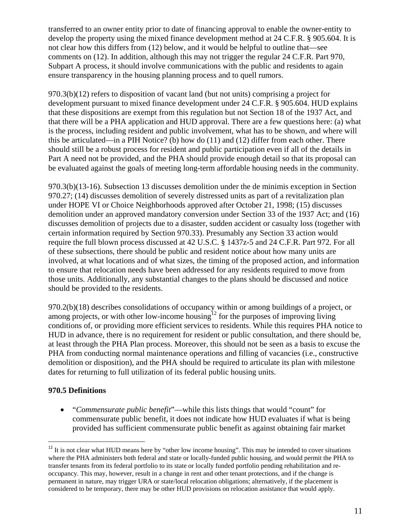transferred to an owner entity prior to date of financing approval to enable the owner-entity to develop the property using the mixed finance development method at 24 C.F.R. § 905.604. It is not clear how this differs from (12) below, and it would be helpful to outline that—see comments on (12). In addition, although this may not trigger the regular 24 C.F.R. Part 970, Subpart A process, it should involve communications with the public and residents to again ensure transparency in the housing planning process and to quell rumors.

970.3(b)(12) refers to disposition of vacant land (but not units) comprising a project for development pursuant to mixed finance development under 24 C.F.R. § 905.604. HUD explains that these dispositions are exempt from this regulation but not Section 18 of the 1937 Act, and that there will be a PHA application and HUD approval. There are a few questions here: (a) what is the process, including resident and public involvement, what has to be shown, and where will this be articulated—in a PIH Notice? (b) how do (11) and (12) differ from each other. There should still be a robust process for resident and public participation even if all of the details in Part A need not be provided, and the PHA should provide enough detail so that its proposal can be evaluated against the goals of meeting long-term affordable housing needs in the community.

970.3(b)(13-16). Subsection 13 discusses demolition under the de minimis exception in Section 970.27; (14) discusses demolition of severely distressed units as part of a revitalization plan under HOPE VI or Choice Neighborhoods approved after October 21, 1998; (15) discusses demolition under an approved mandatory conversion under Section 33 of the 1937 Act; and (16) discusses demolition of projects due to a disaster, sudden accident or casualty loss (together with certain information required by Section 970.33). Presumably any Section 33 action would require the full blown process discussed at 42 U.S.C. § 1437z-5 and 24 C.F.R. Part 972. For all of these subsections, there should be public and resident notice about how many units are involved, at what locations and of what sizes, the timing of the proposed action, and information to ensure that relocation needs have been addressed for any residents required to move from those units. Additionally, any substantial changes to the plans should be discussed and notice should be provided to the residents.

970.2(b)(18) describes consolidations of occupancy within or among buildings of a project, or among projects, or with other low-income housing<sup>12</sup> for the purposes of improving living conditions of, or providing more efficient services to residents. While this requires PHA notice to HUD in advance, there is no requirement for resident or public consultation, and there should be, at least through the PHA Plan process. Moreover, this should not be seen as a basis to excuse the PHA from conducting normal maintenance operations and filling of vacancies (i.e., constructive demolition or disposition), and the PHA should be required to articulate its plan with milestone dates for returning to full utilization of its federal public housing units.

### **970.5 Definitions**

 "*Commensurate public benefit*"—while this lists things that would "count" for commensurate public benefit, it does not indicate how HUD evaluates if what is being provided has sufficient commensurate public benefit as against obtaining fair market

<sup>&</sup>lt;sup>12</sup> It is not clear what HUD means here by "other low income housing". This may be intended to cover situations where the PHA administers both federal and state or locally-funded public housing, and would permit the PHA to transfer tenants from its federal portfolio to its state or locally funded portfolio pending rehabilitation and reoccupancy. This may, however, result in a change in rent and other tenant protections, and if the change is permanent in nature, may trigger URA or state/local relocation obligations; alternatively, if the placement is considered to be temporary, there may be other HUD provisions on relocation assistance that would apply.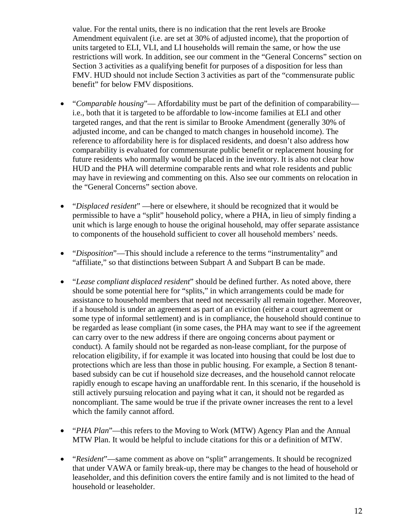value. For the rental units, there is no indication that the rent levels are Brooke Amendment equivalent (i.e. are set at 30% of adjusted income), that the proportion of units targeted to ELI, VLI, and LI households will remain the same, or how the use restrictions will work. In addition, see our comment in the "General Concerns" section on Section 3 activities as a qualifying benefit for purposes of a disposition for less than FMV. HUD should not include Section 3 activities as part of the "commensurate public benefit" for below FMV dispositions.

- "*Comparable housing*"— Affordability must be part of the definition of comparability i.e., both that it is targeted to be affordable to low-income families at ELI and other targeted ranges, and that the rent is similar to Brooke Amendment (generally 30% of adjusted income, and can be changed to match changes in household income). The reference to affordability here is for displaced residents, and doesn't also address how comparability is evaluated for commensurate public benefit or replacement housing for future residents who normally would be placed in the inventory. It is also not clear how HUD and the PHA will determine comparable rents and what role residents and public may have in reviewing and commenting on this. Also see our comments on relocation in the "General Concerns" section above.
- "*Displaced resident*" —here or elsewhere, it should be recognized that it would be permissible to have a "split" household policy, where a PHA, in lieu of simply finding a unit which is large enough to house the original household, may offer separate assistance to components of the household sufficient to cover all household members' needs.
- "*Disposition*"—This should include a reference to the terms "instrumentality" and "affiliate," so that distinctions between Subpart A and Subpart B can be made.
- "*Lease compliant displaced resident*" should be defined further. As noted above, there should be some potential here for "splits," in which arrangements could be made for assistance to household members that need not necessarily all remain together. Moreover, if a household is under an agreement as part of an eviction (either a court agreement or some type of informal settlement) and is in compliance, the household should continue to be regarded as lease compliant (in some cases, the PHA may want to see if the agreement can carry over to the new address if there are ongoing concerns about payment or conduct). A family should not be regarded as non-lease compliant, for the purpose of relocation eligibility, if for example it was located into housing that could be lost due to protections which are less than those in public housing. For example, a Section 8 tenantbased subsidy can be cut if household size decreases, and the household cannot relocate rapidly enough to escape having an unaffordable rent. In this scenario, if the household is still actively pursuing relocation and paying what it can, it should not be regarded as noncompliant. The same would be true if the private owner increases the rent to a level which the family cannot afford.
- "*PHA Plan*"—this refers to the Moving to Work (MTW) Agency Plan and the Annual MTW Plan. It would be helpful to include citations for this or a definition of MTW.
- "*Resident*"—same comment as above on "split" arrangements. It should be recognized that under VAWA or family break-up, there may be changes to the head of household or leaseholder, and this definition covers the entire family and is not limited to the head of household or leaseholder.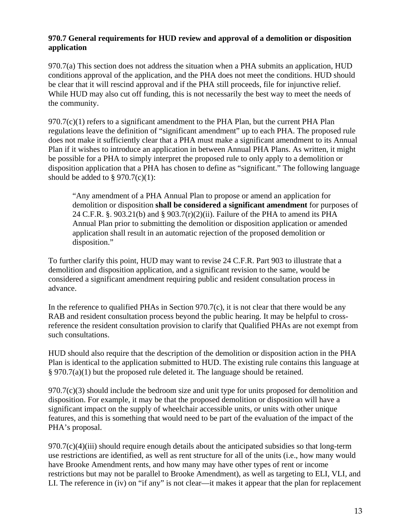#### **970.7 General requirements for HUD review and approval of a demolition or disposition application**

970.7(a) This section does not address the situation when a PHA submits an application, HUD conditions approval of the application, and the PHA does not meet the conditions. HUD should be clear that it will rescind approval and if the PHA still proceeds, file for injunctive relief. While HUD may also cut off funding, this is not necessarily the best way to meet the needs of the community.

 $970.7(c)(1)$  refers to a significant amendment to the PHA Plan, but the current PHA Plan regulations leave the definition of "significant amendment" up to each PHA. The proposed rule does not make it sufficiently clear that a PHA must make a significant amendment to its Annual Plan if it wishes to introduce an application in between Annual PHA Plans. As written, it might be possible for a PHA to simply interpret the proposed rule to only apply to a demolition or disposition application that a PHA has chosen to define as "significant." The following language should be added to  $\S 970.7(c)(1)$ :

"Any amendment of a PHA Annual Plan to propose or amend an application for demolition or disposition **shall be considered a significant amendment** for purposes of 24 C.F.R. §. 903.21(b) and § 903.7(r)(2)(ii). Failure of the PHA to amend its PHA Annual Plan prior to submitting the demolition or disposition application or amended application shall result in an automatic rejection of the proposed demolition or disposition."

To further clarify this point, HUD may want to revise 24 C.F.R. Part 903 to illustrate that a demolition and disposition application, and a significant revision to the same, would be considered a significant amendment requiring public and resident consultation process in advance.

In the reference to qualified PHAs in Section 970.7(c), it is not clear that there would be any RAB and resident consultation process beyond the public hearing. It may be helpful to crossreference the resident consultation provision to clarify that Qualified PHAs are not exempt from such consultations.

HUD should also require that the description of the demolition or disposition action in the PHA Plan is identical to the application submitted to HUD. The existing rule contains this language at § 970.7(a)(1) but the proposed rule deleted it. The language should be retained.

 $970.7(c)(3)$  should include the bedroom size and unit type for units proposed for demolition and disposition. For example, it may be that the proposed demolition or disposition will have a significant impact on the supply of wheelchair accessible units, or units with other unique features, and this is something that would need to be part of the evaluation of the impact of the PHA's proposal.

 $970.7(c)(4)(iii)$  should require enough details about the anticipated subsidies so that long-term use restrictions are identified, as well as rent structure for all of the units (i.e., how many would have Brooke Amendment rents, and how many may have other types of rent or income restrictions but may not be parallel to Brooke Amendment), as well as targeting to ELI, VLI, and LI. The reference in (iv) on "if any" is not clear—it makes it appear that the plan for replacement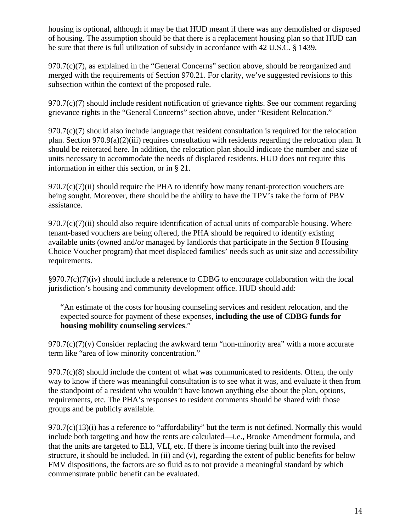housing is optional, although it may be that HUD meant if there was any demolished or disposed of housing. The assumption should be that there is a replacement housing plan so that HUD can be sure that there is full utilization of subsidy in accordance with 42 U.S.C. § 1439.

970.7(c)(7), as explained in the "General Concerns" section above, should be reorganized and merged with the requirements of Section 970.21. For clarity, we've suggested revisions to this subsection within the context of the proposed rule.

 $970.7(c)(7)$  should include resident notification of grievance rights. See our comment regarding grievance rights in the "General Concerns" section above, under "Resident Relocation."

970.7(c)(7) should also include language that resident consultation is required for the relocation plan. Section 970.9(a)(2)(iii) requires consultation with residents regarding the relocation plan. It should be reiterated here. In addition, the relocation plan should indicate the number and size of units necessary to accommodate the needs of displaced residents. HUD does not require this information in either this section, or in § 21.

 $970.7(c)(7)(ii)$  should require the PHA to identify how many tenant-protection vouchers are being sought. Moreover, there should be the ability to have the TPV's take the form of PBV assistance.

 $970.7(c)(7)(ii)$  should also require identification of actual units of comparable housing. Where tenant-based vouchers are being offered, the PHA should be required to identify existing available units (owned and/or managed by landlords that participate in the Section 8 Housing Choice Voucher program) that meet displaced families' needs such as unit size and accessibility requirements.

§970.7(c)(7)(iv) should include a reference to CDBG to encourage collaboration with the local jurisdiction's housing and community development office. HUD should add:

"An estimate of the costs for housing counseling services and resident relocation, and the expected source for payment of these expenses, **including the use of CDBG funds for housing mobility counseling services**."

 $970.7(c)(7)(v)$  Consider replacing the awkward term "non-minority area" with a more accurate term like "area of low minority concentration."

 $970.7(c)(8)$  should include the content of what was communicated to residents. Often, the only way to know if there was meaningful consultation is to see what it was, and evaluate it then from the standpoint of a resident who wouldn't have known anything else about the plan, options, requirements, etc. The PHA's responses to resident comments should be shared with those groups and be publicly available.

970.7(c)(13)(i) has a reference to "affordability" but the term is not defined. Normally this would include both targeting and how the rents are calculated—i.e., Brooke Amendment formula, and that the units are targeted to ELI, VLI, etc. If there is income tiering built into the revised structure, it should be included. In (ii) and (v), regarding the extent of public benefits for below FMV dispositions, the factors are so fluid as to not provide a meaningful standard by which commensurate public benefit can be evaluated.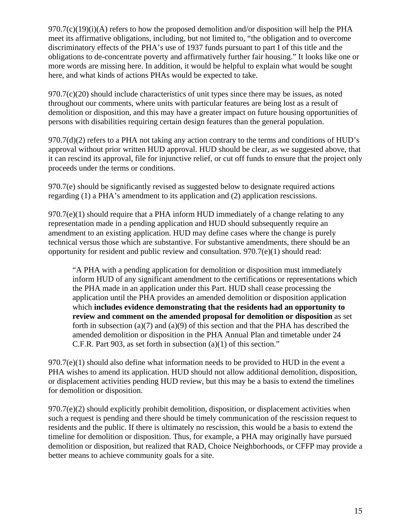$970.7(c)(19)(i)$ (A) refers to how the proposed demolition and/or disposition will help the PHA meet its affirmative obligations, including, but not limited to, "the obligation and to overcome discriminatory effects of the PHA's use of 1937 funds pursuant to part I of this title and the obligations to de-concentrate poverty and affirmatively further fair housing." It looks like one or more words are missing here. In addition, it would be helpful to explain what would be sought here, and what kinds of actions PHAs would be expected to take.

 $970.7(c)(20)$  should include characteristics of unit types since there may be issues, as noted throughout our comments, where units with particular features are being lost as a result of demolition or disposition, and this may have a greater impact on future housing opportunities of persons with disabilities requiring certain design features than the general population.

970.7(d)(2) refers to a PHA not taking any action contrary to the terms and conditions of HUD's approval without prior written HUD approval. HUD should be clear, as we suggested above, that it can rescind its approval, file for injunctive relief, or cut off funds to ensure that the project only proceeds under the terms or conditions.

970.7(e) should be significantly revised as suggested below to designate required actions regarding (1) a PHA's amendment to its application and (2) application rescissions.

 $970.7(e)(1)$  should require that a PHA inform HUD immediately of a change relating to any representation made in a pending application and HUD should subsequently require an amendment to an existing application. HUD may define cases where the change is purely technical versus those which are substantive. For substantive amendments, there should be an opportunity for resident and public review and consultation. 970.7(e)(1) should read:

"A PHA with a pending application for demolition or disposition must immediately inform HUD of any significant amendment to the certifications or representations which the PHA made in an application under this Part. HUD shall cease processing the application until the PHA provides an amended demolition or disposition application which **includes evidence demonstrating that the residents had an opportunity to review and comment on the amended proposal for demolition or disposition** as set forth in subsection (a)(7) and (a)(9) of this section and that the PHA has described the amended demolition or disposition in the PHA Annual Plan and timetable under 24 C.F.R. Part 903, as set forth in subsection (a)(1) of this section."

 $970.7(e)(1)$  should also define what information needs to be provided to HUD in the event a PHA wishes to amend its application. HUD should not allow additional demolition, disposition, or displacement activities pending HUD review, but this may be a basis to extend the timelines for demolition or disposition.

 $970.7(e)(2)$  should explicitly prohibit demolition, disposition, or displacement activities when such a request is pending and there should be timely communication of the rescission request to residents and the public. If there is ultimately no rescission, this would be a basis to extend the timeline for demolition or disposition. Thus, for example, a PHA may originally have pursued demolition or disposition, but realized that RAD, Choice Neighborhoods, or CFFP may provide a better means to achieve community goals for a site.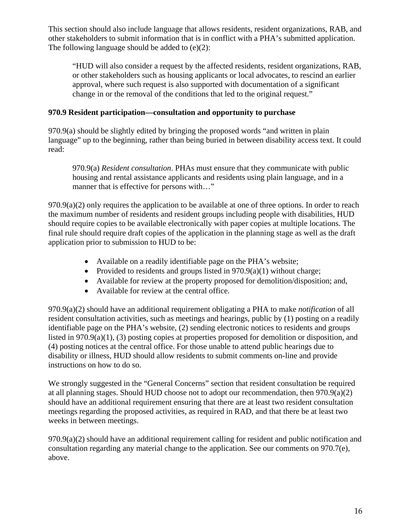This section should also include language that allows residents, resident organizations, RAB, and other stakeholders to submit information that is in conflict with a PHA's submitted application. The following language should be added to (e)(2):

"HUD will also consider a request by the affected residents, resident organizations, RAB, or other stakeholders such as housing applicants or local advocates, to rescind an earlier approval, where such request is also supported with documentation of a significant change in or the removal of the conditions that led to the original request."

### **970.9 Resident participation—consultation and opportunity to purchase**

970.9(a) should be slightly edited by bringing the proposed words "and written in plain language" up to the beginning, rather than being buried in between disability access text. It could read:

970.9(a) *Resident consultation*. PHAs must ensure that they communicate with public housing and rental assistance applicants and residents using plain language, and in a manner that is effective for persons with..."

 $970.9(a)(2)$  only requires the application to be available at one of three options. In order to reach the maximum number of residents and resident groups including people with disabilities, HUD should require copies to be available electronically with paper copies at multiple locations. The final rule should require draft copies of the application in the planning stage as well as the draft application prior to submission to HUD to be:

- Available on a readily identifiable page on the PHA's website;
- Provided to residents and groups listed in  $970.9(a)(1)$  without charge;
- Available for review at the property proposed for demolition/disposition; and,
- Available for review at the central office.

970.9(a)(2) should have an additional requirement obligating a PHA to make *notification* of all resident consultation activities, such as meetings and hearings, public by (1) posting on a readily identifiable page on the PHA's website, (2) sending electronic notices to residents and groups listed in 970.9(a)(1), (3) posting copies at properties proposed for demolition or disposition, and (4) posting notices at the central office. For those unable to attend public hearings due to disability or illness, HUD should allow residents to submit comments on-line and provide instructions on how to do so.

We strongly suggested in the "General Concerns" section that resident consultation be required at all planning stages. Should HUD choose not to adopt our recommendation, then 970.9(a)(2) should have an additional requirement ensuring that there are at least two resident consultation meetings regarding the proposed activities, as required in RAD, and that there be at least two weeks in between meetings.

970.9(a)(2) should have an additional requirement calling for resident and public notification and consultation regarding any material change to the application. See our comments on 970.7(e), above.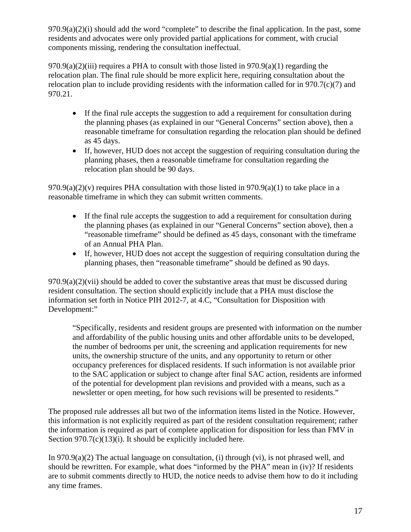$970.9(a)(2)(i)$  should add the word "complete" to describe the final application. In the past, some residents and advocates were only provided partial applications for comment, with crucial components missing, rendering the consultation ineffectual.

 $970.9(a)(2)$ (iii) requires a PHA to consult with those listed in  $970.9(a)(1)$  regarding the relocation plan. The final rule should be more explicit here, requiring consultation about the relocation plan to include providing residents with the information called for in  $970.7(c)(7)$  and 970.21.

- If the final rule accepts the suggestion to add a requirement for consultation during the planning phases (as explained in our "General Concerns" section above), then a reasonable timeframe for consultation regarding the relocation plan should be defined as 45 days.
- If, however, HUD does not accept the suggestion of requiring consultation during the planning phases, then a reasonable timeframe for consultation regarding the relocation plan should be 90 days.

 $970.9(a)(2)(v)$  requires PHA consultation with those listed in  $970.9(a)(1)$  to take place in a reasonable timeframe in which they can submit written comments.

- If the final rule accepts the suggestion to add a requirement for consultation during the planning phases (as explained in our "General Concerns" section above), then a "reasonable timeframe" should be defined as 45 days, consonant with the timeframe of an Annual PHA Plan.
- If, however, HUD does not accept the suggestion of requiring consultation during the planning phases, then "reasonable timeframe" should be defined as 90 days.

 $970.9(a)(2)(vii)$  should be added to cover the substantive areas that must be discussed during resident consultation. The section should explicitly include that a PHA must disclose the information set forth in Notice PIH 2012-7, at 4.C, "Consultation for Disposition with Development:"

"Specifically, residents and resident groups are presented with information on the number and affordability of the public housing units and other affordable units to be developed, the number of bedrooms per unit, the screening and application requirements for new units, the ownership structure of the units, and any opportunity to return or other occupancy preferences for displaced residents. If such information is not available prior to the SAC application or subject to change after final SAC action, residents are informed of the potential for development plan revisions and provided with a means, such as a newsletter or open meeting, for how such revisions will be presented to residents."

The proposed rule addresses all but two of the information items listed in the Notice. However, this information is not explicitly required as part of the resident consultation requirement; rather the information is required as part of complete application for disposition for less than FMV in Section  $970.7(c)(13)(i)$ . It should be explicitly included here.

In 970.9(a)(2) The actual language on consultation, (i) through (vi), is not phrased well, and should be rewritten. For example, what does "informed by the PHA" mean in (iv)? If residents are to submit comments directly to HUD, the notice needs to advise them how to do it including any time frames.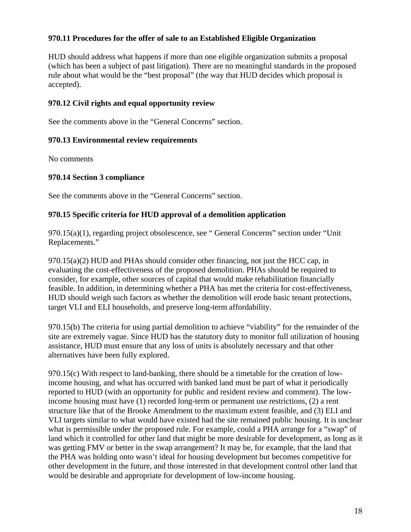#### **970.11 Procedures for the offer of sale to an Established Eligible Organization**

HUD should address what happens if more than one eligible organization submits a proposal (which has been a subject of past litigation). There are no meaningful standards in the proposed rule about what would be the "best proposal" (the way that HUD decides which proposal is accepted).

#### **970.12 Civil rights and equal opportunity review**

See the comments above in the "General Concerns" section.

#### **970.13 Environmental review requirements**

No comments

#### **970.14 Section 3 compliance**

See the comments above in the "General Concerns" section.

#### **970.15 Specific criteria for HUD approval of a demolition application**

970.15(a)(1), regarding project obsolescence, see " General Concerns" section under "Unit Replacements."

 $970.15(a)(2)$  HUD and PHAs should consider other financing, not just the HCC cap, in evaluating the cost-effectiveness of the proposed demolition. PHAs should be required to consider, for example, other sources of capital that would make rehabilitation financially feasible. In addition, in determining whether a PHA has met the criteria for cost-effectiveness, HUD should weigh such factors as whether the demolition will erode basic tenant protections, target VLI and ELI households, and preserve long-term affordability.

970.15(b) The criteria for using partial demolition to achieve "viability" for the remainder of the site are extremely vague. Since HUD has the statutory duty to monitor full utilization of housing assistance, HUD must ensure that any loss of units is absolutely necessary and that other alternatives have been fully explored.

970.15(c) With respect to land-banking, there should be a timetable for the creation of lowincome housing, and what has occurred with banked land must be part of what it periodically reported to HUD (with an opportunity for public and resident review and comment). The lowincome housing must have (1) recorded long-term or permanent use restrictions, (2) a rent structure like that of the Brooke Amendment to the maximum extent feasible, and (3) ELI and VLI targets similar to what would have existed had the site remained public housing. It is unclear what is permissible under the proposed rule. For example, could a PHA arrange for a "swap" of land which it controlled for other land that might be more desirable for development, as long as it was getting FMV or better in the swap arrangement? It may be, for example, that the land that the PHA was holding onto wasn't ideal for housing development but becomes competitive for other development in the future, and those interested in that development control other land that would be desirable and appropriate for development of low-income housing.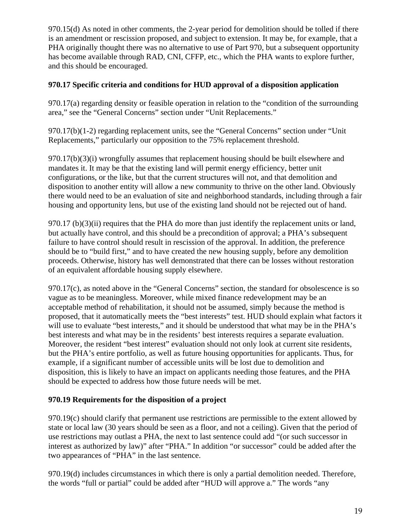970.15(d) As noted in other comments, the 2-year period for demolition should be tolled if there is an amendment or rescission proposed, and subject to extension. It may be, for example, that a PHA originally thought there was no alternative to use of Part 970, but a subsequent opportunity has become available through RAD, CNI, CFFP, etc., which the PHA wants to explore further, and this should be encouraged.

### **970.17 Specific criteria and conditions for HUD approval of a disposition application**

970.17(a) regarding density or feasible operation in relation to the "condition of the surrounding area," see the "General Concerns" section under "Unit Replacements."

970.17(b)(1-2) regarding replacement units, see the "General Concerns" section under "Unit Replacements," particularly our opposition to the 75% replacement threshold.

970.17(b)(3)(i) wrongfully assumes that replacement housing should be built elsewhere and mandates it. It may be that the existing land will permit energy efficiency, better unit configurations, or the like, but that the current structures will not, and that demolition and disposition to another entity will allow a new community to thrive on the other land. Obviously there would need to be an evaluation of site and neighborhood standards, including through a fair housing and opportunity lens, but use of the existing land should not be rejected out of hand.

970.17 (b) $(3)(ii)$  requires that the PHA do more than just identify the replacement units or land, but actually have control, and this should be a precondition of approval; a PHA's subsequent failure to have control should result in rescission of the approval. In addition, the preference should be to "build first," and to have created the new housing supply, before any demolition proceeds. Otherwise, history has well demonstrated that there can be losses without restoration of an equivalent affordable housing supply elsewhere.

970.17(c), as noted above in the "General Concerns" section, the standard for obsolescence is so vague as to be meaningless. Moreover, while mixed finance redevelopment may be an acceptable method of rehabilitation, it should not be assumed, simply because the method is proposed, that it automatically meets the "best interests" test. HUD should explain what factors it will use to evaluate "best interests," and it should be understood that what may be in the PHA's best interests and what may be in the residents' best interests requires a separate evaluation. Moreover, the resident "best interest" evaluation should not only look at current site residents, but the PHA's entire portfolio, as well as future housing opportunities for applicants. Thus, for example, if a significant number of accessible units will be lost due to demolition and disposition, this is likely to have an impact on applicants needing those features, and the PHA should be expected to address how those future needs will be met.

### **970.19 Requirements for the disposition of a project**

970.19(c) should clarify that permanent use restrictions are permissible to the extent allowed by state or local law (30 years should be seen as a floor, and not a ceiling). Given that the period of use restrictions may outlast a PHA, the next to last sentence could add "(or such successor in interest as authorized by law)" after "PHA." In addition "or successor" could be added after the two appearances of "PHA" in the last sentence.

970.19(d) includes circumstances in which there is only a partial demolition needed. Therefore, the words "full or partial" could be added after "HUD will approve a." The words "any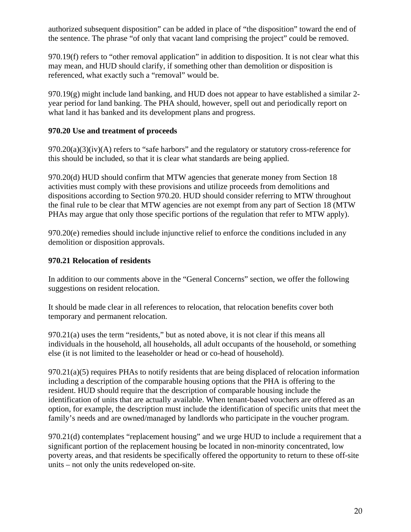authorized subsequent disposition" can be added in place of "the disposition" toward the end of the sentence. The phrase "of only that vacant land comprising the project" could be removed.

970.19(f) refers to "other removal application" in addition to disposition. It is not clear what this may mean, and HUD should clarify, if something other than demolition or disposition is referenced, what exactly such a "removal" would be.

970.19(g) might include land banking, and HUD does not appear to have established a similar 2 year period for land banking. The PHA should, however, spell out and periodically report on what land it has banked and its development plans and progress.

### **970.20 Use and treatment of proceeds**

 $970.20(a)(3)(iv)$ (A) refers to "safe harbors" and the regulatory or statutory cross-reference for this should be included, so that it is clear what standards are being applied.

970.20(d) HUD should confirm that MTW agencies that generate money from Section 18 activities must comply with these provisions and utilize proceeds from demolitions and dispositions according to Section 970.20. HUD should consider referring to MTW throughout the final rule to be clear that MTW agencies are not exempt from any part of Section 18 (MTW PHAs may argue that only those specific portions of the regulation that refer to MTW apply).

970.20(e) remedies should include injunctive relief to enforce the conditions included in any demolition or disposition approvals.

# **970.21 Relocation of residents**

In addition to our comments above in the "General Concerns" section, we offer the following suggestions on resident relocation.

It should be made clear in all references to relocation, that relocation benefits cover both temporary and permanent relocation.

970.21(a) uses the term "residents," but as noted above, it is not clear if this means all individuals in the household, all households, all adult occupants of the household, or something else (it is not limited to the leaseholder or head or co-head of household).

970.21(a)(5) requires PHAs to notify residents that are being displaced of relocation information including a description of the comparable housing options that the PHA is offering to the resident. HUD should require that the description of comparable housing include the identification of units that are actually available. When tenant-based vouchers are offered as an option, for example, the description must include the identification of specific units that meet the family's needs and are owned/managed by landlords who participate in the voucher program.

970.21(d) contemplates "replacement housing" and we urge HUD to include a requirement that a significant portion of the replacement housing be located in non-minority concentrated, low poverty areas, and that residents be specifically offered the opportunity to return to these off-site units – not only the units redeveloped on-site.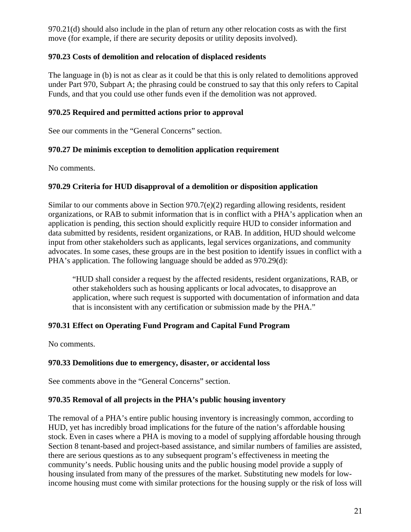970.21(d) should also include in the plan of return any other relocation costs as with the first move (for example, if there are security deposits or utility deposits involved).

## **970.23 Costs of demolition and relocation of displaced residents**

The language in (b) is not as clear as it could be that this is only related to demolitions approved under Part 970, Subpart A; the phrasing could be construed to say that this only refers to Capital Funds, and that you could use other funds even if the demolition was not approved.

### **970.25 Required and permitted actions prior to approval**

See our comments in the "General Concerns" section.

### **970.27 De minimis exception to demolition application requirement**

No comments.

## **970.29 Criteria for HUD disapproval of a demolition or disposition application**

Similar to our comments above in Section 970.7(e)(2) regarding allowing residents, resident organizations, or RAB to submit information that is in conflict with a PHA's application when an application is pending, this section should explicitly require HUD to consider information and data submitted by residents, resident organizations, or RAB. In addition, HUD should welcome input from other stakeholders such as applicants, legal services organizations, and community advocates. In some cases, these groups are in the best position to identify issues in conflict with a PHA's application. The following language should be added as 970.29(d):

"HUD shall consider a request by the affected residents, resident organizations, RAB, or other stakeholders such as housing applicants or local advocates, to disapprove an application, where such request is supported with documentation of information and data that is inconsistent with any certification or submission made by the PHA."

### **970.31 Effect on Operating Fund Program and Capital Fund Program**

No comments.

### **970.33 Demolitions due to emergency, disaster, or accidental loss**

See comments above in the "General Concerns" section.

### **970.35 Removal of all projects in the PHA's public housing inventory**

The removal of a PHA's entire public housing inventory is increasingly common, according to HUD, yet has incredibly broad implications for the future of the nation's affordable housing stock. Even in cases where a PHA is moving to a model of supplying affordable housing through Section 8 tenant-based and project-based assistance, and similar numbers of families are assisted, there are serious questions as to any subsequent program's effectiveness in meeting the community's needs. Public housing units and the public housing model provide a supply of housing insulated from many of the pressures of the market. Substituting new models for lowincome housing must come with similar protections for the housing supply or the risk of loss will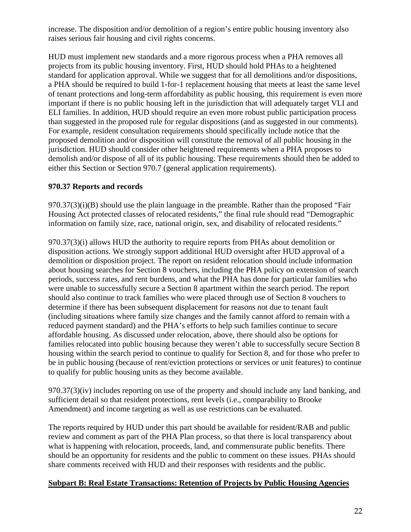increase. The disposition and/or demolition of a region's entire public housing inventory also raises serious fair housing and civil rights concerns.

HUD must implement new standards and a more rigorous process when a PHA removes all projects from its public housing inventory. First, HUD should hold PHAs to a heightened standard for application approval. While we suggest that for all demolitions and/or dispositions, a PHA should be required to build 1-for-1 replacement housing that meets at least the same level of tenant protections and long-term affordability as public housing, this requirement is even more important if there is no public housing left in the jurisdiction that will adequately target VLI and ELI families. In addition, HUD should require an even more robust public participation process than suggested in the proposed rule for regular dispositions (and as suggested in our comments). For example, resident consultation requirements should specifically include notice that the proposed demolition and/or disposition will constitute the removal of all public housing in the jurisdiction. HUD should consider other heightened requirements when a PHA proposes to demolish and/or dispose of all of its public housing. These requirements should then be added to either this Section or Section 970.7 (general application requirements).

## **970.37 Reports and records**

 $970.37(3)(i)(B)$  should use the plain language in the preamble. Rather than the proposed "Fair Housing Act protected classes of relocated residents," the final rule should read "Demographic information on family size, race, national origin, sex, and disability of relocated residents."

970.37(3)(i) allows HUD the authority to require reports from PHAs about demolition or disposition actions. We strongly support additional HUD oversight after HUD approval of a demolition or disposition project. The report on resident relocation should include information about housing searches for Section 8 vouchers, including the PHA policy on extension of search periods, success rates, and rent burdens, and what the PHA has done for particular families who were unable to successfully secure a Section 8 apartment within the search period. The report should also continue to track families who were placed through use of Section 8 vouchers to determine if there has been subsequent displacement for reasons not due to tenant fault (including situations where family size changes and the family cannot afford to remain with a reduced payment standard) and the PHA's efforts to help such families continue to secure affordable housing. As discussed under relocation, above, there should also be options for families relocated into public housing because they weren't able to successfully secure Section 8 housing within the search period to continue to qualify for Section 8, and for those who prefer to be in public housing (because of rent/eviction protections or services or unit features) to continue to qualify for public housing units as they become available.

970.37(3)(iv) includes reporting on use of the property and should include any land banking, and sufficient detail so that resident protections, rent levels (i.e., comparability to Brooke Amendment) and income targeting as well as use restrictions can be evaluated.

The reports required by HUD under this part should be available for resident/RAB and public review and comment as part of the PHA Plan process, so that there is local transparency about what is happening with relocation, proceeds, land, and commensurate public benefits. There should be an opportunity for residents and the public to comment on these issues. PHAs should share comments received with HUD and their responses with residents and the public.

### **Subpart B: Real Estate Transactions: Retention of Projects by Public Housing Agencies**